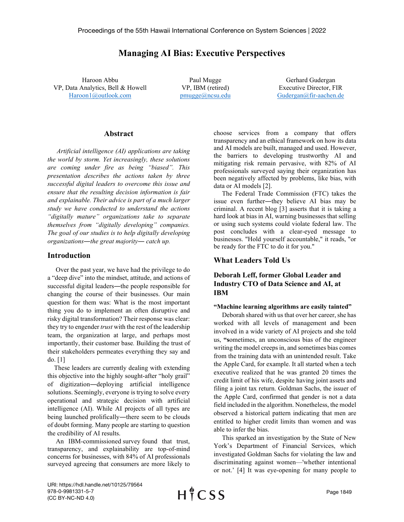# Managing AI Bias: Executive Perspectives

Haroon Abbu VP, Data Analytics, Bell & Howell Haroon1@outlook.com

Paul Mugge VP, IBM (retired) pmugge@ncsu.edu

Gerhard Gudergan Executive Director, FIR Gudergan@fir-aachen.de

### Abstract

Artificial intelligence (AI) applications are taking the world by storm. Yet increasingly, these solutions are coming under fire as being "biased". This presentation describes the actions taken by three successful digital leaders to overcome this issue and ensure that the resulting decision information is fair and explainable. Their advice is part of a much larger study we have conducted to understand the actions "digitally mature" organizations take to separate themselves from "digitally developing" companies. The goal of our studies is to help digitally developing organizations―the great majority― catch up.

### Introduction

 Over the past year, we have had the privilege to do a "deep dive" into the mindset, attitude, and actions of successful digital leaders—the people responsible for changing the course of their businesses. Our main question for them was: What is the most important thing you do to implement an often disruptive and risky digital transformation? Their response was clear: they try to engender *trust* with the rest of the leadership team, the organization at large, and perhaps most importantly, their customer base. Building the trust of their stakeholders permeates everything they say and do. [1]

 These leaders are currently dealing with extending this objective into the highly sought-after "holy grail" of digitization―deploying artificial intelligence solutions. Seemingly, everyone is trying to solve every operational and strategic decision with artificial intelligence (AI). While AI projects of all types are being launched prolifically―there seem to be clouds of doubt forming. Many people are starting to question the credibility of AI results.

 An IBM-commissioned survey found that trust, transparency, and explainability are top-of-mind concerns for businesses, with 84% of AI professionals surveyed agreeing that consumers are more likely to choose services from a company that offers transparency and an ethical framework on how its data and AI models are built, managed and used. However, the barriers to developing trustworthy AI and mitigating risk remain pervasive, with 82% of AI professionals surveyed saying their organization has been negatively affected by problems, like bias, with data or AI models [2].

 The Federal Trade Commission (FTC) takes the issue even further―they believe AI bias may be criminal. A recent blog [3] asserts that it is taking a hard look at bias in AI, warning businesses that selling or using such systems could violate federal law. The post concludes with a clear-eyed message to businesses. "Hold yourself accountable," it reads, "or be ready for the FTC to do it for you."

## What Leaders Told Us

## Deborah Leff, former Global Leader and Industry CTO of Data Science and AI, at IBM

#### "Machine learning algorithms are easily tainted"

 Deborah shared with us that over her career, she has worked with all levels of management and been involved in a wide variety of AI projects and she told us, "sometimes, an unconscious bias of the engineer writing the model creeps in, and sometimes bias comes from the training data with an unintended result. Take the Apple Card, for example. It all started when a tech executive realized that he was granted 20 times the credit limit of his wife, despite having joint assets and filing a joint tax return. Goldman Sachs, the issuer of the Apple Card, confirmed that gender is not a data field included in the algorithm. Nonetheless, the model observed a historical pattern indicating that men are entitled to higher credit limits than women and was able to infer the bias.

 This sparked an investigation by the State of New York's Department of Financial Services, which investigated Goldman Sachs for violating the law and discriminating against women—'whether intentional or not.' [4] It was eye-opening for many people to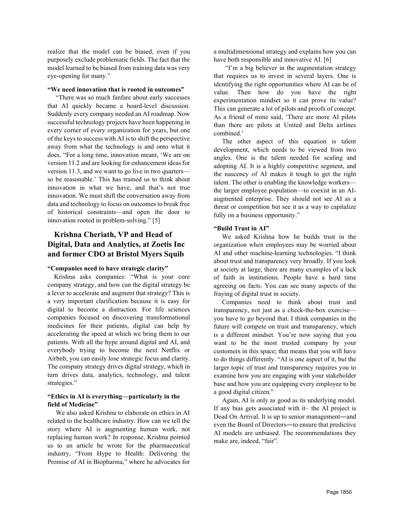realize that the model can be biased, even if you purposely exclude problematic fields. The fact that the model learned to be biased from training data was very eye-opening for many."

#### "We need innovation that is rooted in outcomes"

 "There was so much fanfare about early successes that AI quickly became a board-level discussion. Suddenly every company needed an AI roadmap. Now successful technology projects have been happening in every corner of every organization for years, but one of the keys to success with AI is to shift the perspective away from what the technology is and onto what it does. "For a long time, innovation meant, 'We are on version 11.2 and are looking for enhancement ideas for version 11.3, and we want to go live in two quarters so be reasonable.' This has trained us to think about innovation in what we have, and that's not true innovation. We must shift the conversation away from data and technology to focus on outcomes to break free of historical constraints—and open the door to innovation rooted in problem-solving." [5]

# Krishna Cheriath, VP and Head of Digital, Data and Analytics, at Zoetis Inc and former CDO at Bristol Myers Squib

#### "Companies need to have strategic clarity"

 Krishna asks companies: "What is your core company strategy, and how can the digital strategy be a lever to accelerate and augment that strategy? This is a very important clarification because it is easy for digital to become a distraction. For life sciences companies focused on discovering transformational medicines for their patients, digital can help by accelerating the speed at which we bring them to our patients. With all the hype around digital and AI, and everybody trying to become the next Netflix or Airbnb, you can easily lose strategic focus and clarity. The company strategy drives digital strategy, which in turn drives data, analytics, technology, and talent strategies."

### "Ethics in AI is everything—particularly in the field of Medicine"

 We also asked Krishna to elaborate on ethics in AI related to the healthcare industry. How can we tell the story where AI is augmenting human work, not replacing human work? In response, Krishna pointed us to an article he wrote for the pharmaceutical industry, "From Hype to Health: Delivering the Promise of AI in Biopharma," where he advocates for a multidimensional strategy and explains how you can have both responsible and innovative AI. [6]

 "I'm a big believer in the augmentation strategy that requires us to invest in several layers. One is identifying the right opportunities where AI can be of value. Then how do you have the right experimentation mindset so it can prove its value? This can generate a lot of pilots and proofs of concept. As a friend of mine said, 'There are more AI pilots than there are pilots at United and Delta airlines combined.'

 The other aspect of this equation is talent development, which needs to be viewed from two angles. One is the talent needed for scaling and adopting AI. It is a highly competitive segment, and the nascency of AI makes it tough to get the right talent. The other is enabling the knowledge workers the larger employee population—to coexist in an AIaugmented enterprise. They should not see AI as a threat or competition but see it as a way to capitalize fully on a business opportunity."

#### "Build Trust in AI"

 We asked Krishna how he builds trust in the organization when employees may be worried about AI and other machine-learning technologies. "I think about trust and transparency very broadly. If you look at society at large, there are many examples of a lack of faith in institutions. People have a hard time agreeing on facts. You can see many aspects of the fraying of digital trust in society.

 Companies need to think about trust and transparency, not just as a check-the-box exercise you have to go beyond that. I think companies in the future will compete on trust and transparency, which is a different mindset. You're now saying that you want to be the most trusted company by your customers in this space; that means that you will have to do things differently. "AI is one aspect of it, but the larger topic of trust and transparency requires you to examine how you are engaging with your stakeholder base and how you are equipping every employee to be a good digital citizen."

 Again, AI is only as good as its underlying model. If any bias gets associated with it– the AI project is Dead On Arrival. It is up to senior management―and even the Board of Directors―to ensure that predictive AI models are unbiased. The recommendations they make are, indeed, "fair".